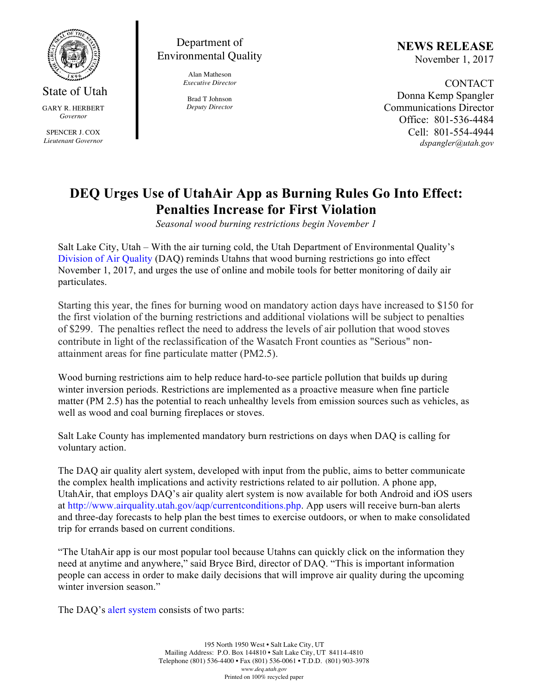

State of Utah GARY R. HERBERT *Governor* SPENCER J. COX *Lieutenant Governor*

## Department of Environmental Quality

Alan Matheson *Executive Director*

Brad T Johnson *Deputy Director* **NEWS RELEASE** November 1, 2017

CONTACT Donna Kemp Spangler Communications Director Office: 801-536-4484 Cell: 801-554-4944 *dspangler@utah.gov*

# **DEQ Urges Use of UtahAir App as Burning Rules Go Into Effect: Penalties Increase for First Violation**

*Seasonal wood burning restrictions begin November 1*

Salt Lake City, Utah – With the air turning cold, the Utah Department of Environmental Quality's Division of Air Quality (DAQ) reminds Utahns that wood burning restrictions go into effect November 1, 2017, and urges the use of online and mobile tools for better monitoring of daily air particulates.

Starting this year, the fines for burning wood on mandatory action days have increased to \$150 for the first violation of the burning restrictions and additional violations will be subject to penalties of \$299. The penalties reflect the need to address the levels of air pollution that wood stoves contribute in light of the reclassification of the Wasatch Front counties as "Serious" nonattainment areas for fine particulate matter (PM2.5).

Wood burning restrictions aim to help reduce hard-to-see particle pollution that builds up during winter inversion periods. Restrictions are implemented as a proactive measure when fine particle matter (PM 2.5) has the potential to reach unhealthy levels from emission sources such as vehicles, as well as wood and coal burning fireplaces or stoves.

Salt Lake County has implemented mandatory burn restrictions on days when DAQ is calling for voluntary action.

The DAQ air quality alert system, developed with input from the public, aims to better communicate the complex health implications and activity restrictions related to air pollution. A phone app, UtahAir, that employs DAQ's air quality alert system is now available for both Android and iOS users at http://www.airquality.utah.gov/aqp/currentconditions.php. App users will receive burn-ban alerts and three-day forecasts to help plan the best times to exercise outdoors, or when to make consolidated trip for errands based on current conditions.

"The UtahAir app is our most popular tool because Utahns can quickly click on the information they need at anytime and anywhere," said Bryce Bird, director of DAQ. "This is important information people can access in order to make daily decisions that will improve air quality during the upcoming winter inversion season."

The DAQ's alert system consists of two parts: